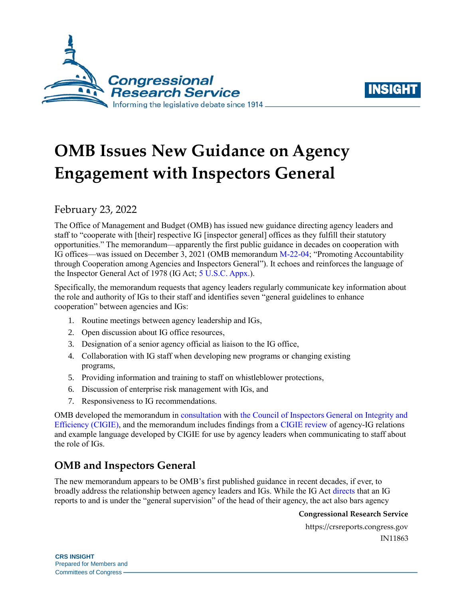



# **OMB Issues New Guidance on Agency Engagement with Inspectors General**

February 23, 2022

The Office of Management and Budget (OMB) has issued new guidance directing agency leaders and staff to "cooperate with [their] respective IG [inspector general] offices as they fulfill their statutory opportunities." The memorandum—apparently the first public guidance in decades on cooperation with IG offices—was issued on December 3, 2021 (OMB memorandum [M-22-04;](https://www.whitehouse.gov/wp-content/uploads/2021/12/M-22-04-IG-Cooperation.pdf) "Promoting Accountability through Cooperation among Agencies and Inspectors General"). It echoes and reinforces the language of the Inspector General Act of 1978 (IG Act; [5 U.S.C. Appx.\)](https://uscode.house.gov/view.xhtml?path=/prelim@title5/title5a/node20&edition=prelim).

Specifically, the memorandum requests that agency leaders regularly communicate key information about the role and authority of IGs to their staff and identifies seven "general guidelines to enhance cooperation" between agencies and IGs:

- 1. Routine meetings between agency leadership and IGs,
- 2. Open discussion about IG office resources,
- 3. Designation of a senior agency official as liaison to the IG office,
- 4. Collaboration with IG staff when developing new programs or changing existing programs,
- 5. Providing information and training to staff on whistleblower protections,
- 6. Discussion of enterprise risk management with IGs, and
- 7. Responsiveness to IG recommendations.

OMB developed the memorandum in [consultation](https://www.ignet.gov/sites/default/files/files/CIGIE%20Release%20-%20OMB%20M%20Memo%20M-22-04.pdf) with [the Council of Inspectors General on Integrity and](https://www.ignet.gov/sites/default/files/CIGIE%20Congressional%20Relations%20Handbook%20January%202015.pdf)  [Efficiency \(CIGIE\),](https://www.ignet.gov/sites/default/files/CIGIE%20Congressional%20Relations%20Handbook%20January%202015.pdf) and the memorandum includes findings from a [CIGIE review](https://www.ignet.gov/sites/default/files/files/CooperationDocumentsforIGnet.pdf) of agency-IG relations and example language developed by CIGIE for use by agency leaders when communicating to staff about the role of IGs.

## **OMB and Inspectors General**

The new memorandum appears to be OMB's first published guidance in recent decades, if ever, to broadly address the relationship between agency leaders and IGs. While the IG Act [directs](https://uscode.house.gov/view.xhtml?req=granuleid:USC-prelim-title5a-node20-section3&num=0&edition=prelim) that an IG reports to and is under the "general supervision" of the head of their agency, the act also bars agency

**Congressional Research Service**

https://crsreports.congress.gov IN11863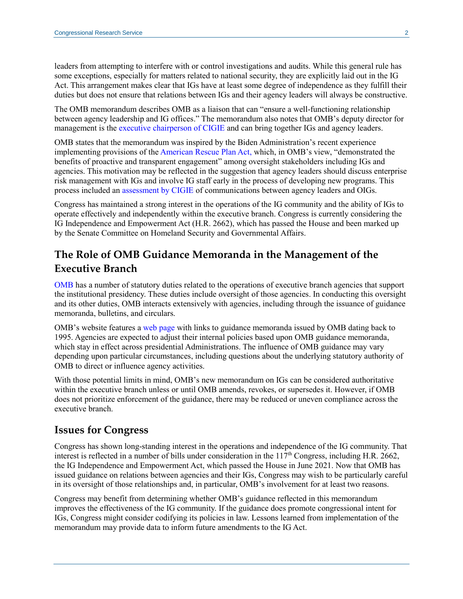leaders from attempting to interfere with or control investigations and audits. While this general rule has some exceptions, especially for matters related to national security, they are explicitly laid out in the IG Act. This arrangement makes clear that IGs have at least some degree of independence as they fulfill their duties but does not ensure that relations between IGs and their agency leaders will always be constructive.

The OMB memorandum describes OMB as a liaison that can "ensure a well-functioning relationship between agency leadership and IG offices." The memorandum also notes that OMB's deputy director for management is the [executive chairperson of CIGIE](https://uscode.house.gov/view.xhtml?req=granuleid:USC-prelim-title5a-node20-section11&num=0&edition=prelim) and can bring together IGs and agency leaders.

OMB states that the memorandum was inspired by the Biden Administration's recent experience implementing provisions of the [American Rescue Plan Act,](https://www.congress.gov/bill/117th-congress/house-bill/1319/text) which, in OMB's view, "demonstrated the benefits of proactive and transparent engagement" among oversight stakeholders including IGs and agencies. This motivation may be reflected in the suggestion that agency leaders should discuss enterprise risk management with IGs and involve IG staff early in the process of developing new programs. This process included an [assessment by CIGIE](https://www.ignet.gov/sites/default/files/files/CooperationDocumentsforIGnet.pdf) of communications between agency leaders and OIGs.

Congress has maintained a strong interest in the operations of the IG community and the ability of IGs to operate effectively and independently within the executive branch. Congress is currently considering the IG Independence and Empowerment Act [\(H.R. 2662\)](http://www.congress.gov/cgi-lis/bdquery/z?d117:H.R.2662:), which has passed the House and been marked up by the Senate Committee on Homeland Security and Governmental Affairs.

## **The Role of OMB Guidance Memoranda in the Management of the Executive Branch**

[OMB](https://crsreports.congress.gov/product/pdf/RS/RS21665) has a number of statutory duties related to the operations of executive branch agencies that support the institutional presidency. These duties include oversight of those agencies. In conducting this oversight and its other duties, OMB interacts extensively with agencies, including through the issuance of guidance memoranda, bulletins, and circulars.

OMB's website features a web [page](https://www.whitehouse.gov/omb/information-for-agencies/memoranda/) with links to guidance memoranda issued by OMB dating back to 1995. Agencies are expected to adjust their internal policies based upon OMB guidance memoranda, which stay in effect across presidential Administrations. The influence of OMB guidance may vary depending upon particular circumstances, including questions about the underlying statutory authority of OMB to direct or influence agency activities.

With those potential limits in mind, OMB's new memorandum on IGs can be considered authoritative within the executive branch unless or until OMB amends, revokes, or supersedes it. However, if OMB does not prioritize enforcement of the guidance, there may be reduced or uneven compliance across the executive branch.

#### **Issues for Congress**

Congress has shown long-standing interest in the operations and independence of the IG community. That interest is reflected in a number of bills under consideration in the  $117<sup>th</sup>$  Congress, including [H.R. 2662,](http://www.congress.gov/cgi-lis/bdquery/z?d117:H.R.2662:) the IG Independence and Empowerment Act, which passed the House in June 2021. Now that OMB has issued guidance on relations between agencies and their IGs, Congress may wish to be particularly careful in its oversight of those relationships and, in particular, OMB's involvement for at least two reasons.

Congress may benefit from determining whether OMB's guidance reflected in this memorandum improves the effectiveness of the IG community. If the guidance does promote congressional intent for IGs, Congress might consider codifying its policies in law. Lessons learned from implementation of the memorandum may provide data to inform future amendments to the IG Act.